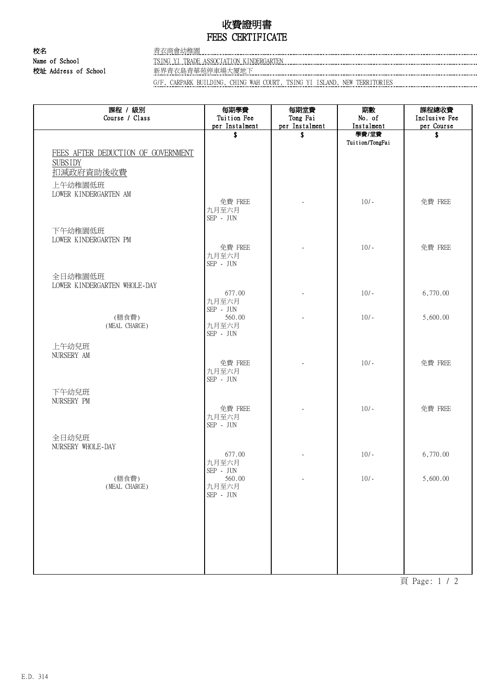## 收費證明書 FEES CERTIFICATE

校名 またま こうしょう 青衣商會幼稚園 校址 Address of School 新界青衣島青華苑停車場大厦地下

Name of School TSING YI TRADE ASSOCIATION KINDERGARTEN

G/F, CARPARK BUILDING, CHING WAH COURT, TSING YI ISLAND, NEW TERRITORIES

| 課程 / 級別<br>Course / Class               | 每期學費<br>Tuition Fee                  | 每期堂費<br>Tong Fai         | 期數<br>No. of        | 課程總收費<br>Inclusive Fee |
|-----------------------------------------|--------------------------------------|--------------------------|---------------------|------------------------|
|                                         | per Instalment                       | per Instalment           | Instalment<br>學費/堂費 | per Course             |
|                                         | \$                                   | \$                       | Tuition/TongFai     | \$                     |
| FEES AFTER DEDUCTION OF GOVERNMENT      |                                      |                          |                     |                        |
| <b>SUBSIDY</b>                          |                                      |                          |                     |                        |
| 扣减政府資助後收費                               |                                      |                          |                     |                        |
| 上午幼稚園低班                                 |                                      |                          |                     |                        |
| LOWER KINDERGARTEN AM                   | 免費 FREE                              |                          | $10/-$              | 免費 FREE                |
|                                         | 九月至六月                                |                          |                     |                        |
|                                         | $\mbox{SEP}$ - $\mbox{JUN}$          |                          |                     |                        |
| 下午幼稚園低班                                 |                                      |                          |                     |                        |
| LOWER KINDERGARTEN PM                   | 免費 FREE                              |                          | $10/-$              | 免費 FREE                |
|                                         | 九月至六月                                |                          |                     |                        |
|                                         | $SEP$ - $JUN$                        |                          |                     |                        |
| 全日幼稚園低班<br>LOWER KINDERGARTEN WHOLE-DAY |                                      |                          |                     |                        |
|                                         | 677.00                               |                          | $10/-$              | 6,770.00               |
|                                         | 九月至六月<br>$\mbox{SEP}$ - $\mbox{JUN}$ |                          |                     |                        |
| (膳食費)                                   | 560.00                               |                          | $10/-$              | 5,600.00               |
| (MEAL CHARGE)                           | 九月至六月<br>$\mbox{SEP}$ - $\mbox{JUN}$ |                          |                     |                        |
|                                         |                                      |                          |                     |                        |
| 上午幼兒班<br>NURSERY AM                     |                                      |                          |                     |                        |
|                                         | 免費 FREE                              |                          | $10/-$              | 免費 FREE                |
|                                         | 九月至六月<br>$\mbox{SEP}$ - $\mbox{JUN}$ |                          |                     |                        |
| 下午幼兒班                                   |                                      |                          |                     |                        |
| NURSERY PM                              |                                      |                          |                     |                        |
|                                         | 免費 FREE<br>九月至六月                     |                          | $10/-$              | 免費 FREE                |
|                                         | $SEP$ - $JUN$                        |                          |                     |                        |
| 全日幼兒班                                   |                                      |                          |                     |                        |
| NURSERY WHOLE-DAY                       |                                      |                          |                     |                        |
|                                         | 677.00<br>九月至六月                      |                          | $10/-$              | 6,770.00               |
|                                         | SEP - JUN                            |                          |                     |                        |
| (膳食費)<br>(MEAL CHARGE)                  | 560.00<br>九月至六月                      | $\overline{\phantom{a}}$ | $10/-$              | 5,600.00               |
|                                         | $\mbox{SEP}$ - $\mbox{JUN}$          |                          |                     |                        |
|                                         |                                      |                          |                     |                        |
|                                         |                                      |                          |                     |                        |
|                                         |                                      |                          |                     |                        |
|                                         |                                      |                          |                     |                        |
|                                         |                                      |                          |                     |                        |
|                                         |                                      |                          |                     |                        |

頁 Page: 1 / 2